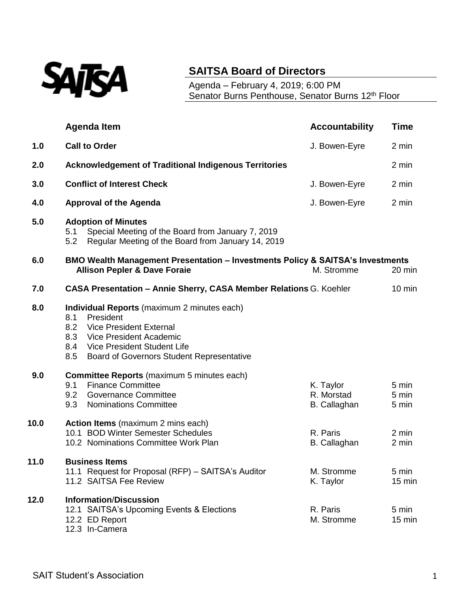

## **SAITSA Board of Directors**

Agenda – February 4, 2019; 6:00 PM Senator Burns Penthouse, Senator Burns 12<sup>th</sup> Floor

|      | <b>Agenda Item</b>                                                                                                                                                                                                                          | <b>Accountability</b>                   | <b>Time</b>             |
|------|---------------------------------------------------------------------------------------------------------------------------------------------------------------------------------------------------------------------------------------------|-----------------------------------------|-------------------------|
| 1.0  | <b>Call to Order</b>                                                                                                                                                                                                                        | J. Bowen-Eyre                           | 2 min                   |
| 2.0  | <b>Acknowledgement of Traditional Indigenous Territories</b>                                                                                                                                                                                |                                         | 2 min                   |
| 3.0  | <b>Conflict of Interest Check</b>                                                                                                                                                                                                           | J. Bowen-Eyre                           | 2 min                   |
| 4.0  | <b>Approval of the Agenda</b>                                                                                                                                                                                                               | J. Bowen-Eyre                           | 2 min                   |
| 5.0  | <b>Adoption of Minutes</b><br>Special Meeting of the Board from January 7, 2019<br>5.1<br>Regular Meeting of the Board from January 14, 2019<br>5.2                                                                                         |                                         |                         |
| 6.0  | <b>BMO Wealth Management Presentation - Investments Policy &amp; SAITSA's Investments</b><br><b>Allison Pepler &amp; Dave Foraie</b>                                                                                                        | M. Stromme                              | 20 min                  |
| 7.0  | <b>CASA Presentation - Annie Sherry, CASA Member Relations G. Koehler</b>                                                                                                                                                                   |                                         | $10 \text{ min}$        |
| 8.0  | Individual Reports (maximum 2 minutes each)<br>President<br>8.1<br>8.2<br><b>Vice President External</b><br>8.3<br>Vice President Academic<br>Vice President Student Life<br>8.4<br>8.5<br><b>Board of Governors Student Representative</b> |                                         |                         |
| 9.0  | <b>Committee Reports</b> (maximum 5 minutes each)<br><b>Finance Committee</b><br>9.1<br>9.2<br><b>Governance Committee</b><br>9.3<br><b>Nominations Committee</b>                                                                           | K. Taylor<br>R. Morstad<br>B. Callaghan | 5 min<br>5 min<br>5 min |
| 10.0 | <b>Action Items</b> (maximum 2 mins each)<br>10.1 BOD Winter Semester Schedules<br>10.2 Nominations Committee Work Plan                                                                                                                     | R. Paris<br><b>B.</b> Callaghan         | 2 min<br>2 min          |
| 11.0 | <b>Business Items</b><br>11.1 Request for Proposal (RFP) - SAITSA's Auditor<br>11.2 SAITSA Fee Review                                                                                                                                       | M. Stromme<br>K. Taylor                 | 5 min<br>15 min         |
| 12.0 | <b>Information/Discussion</b><br>12.1 SAITSA's Upcoming Events & Elections<br>12.2 ED Report<br>12.3 In-Camera                                                                                                                              | R. Paris<br>M. Stromme                  | 5 min<br>15 min         |